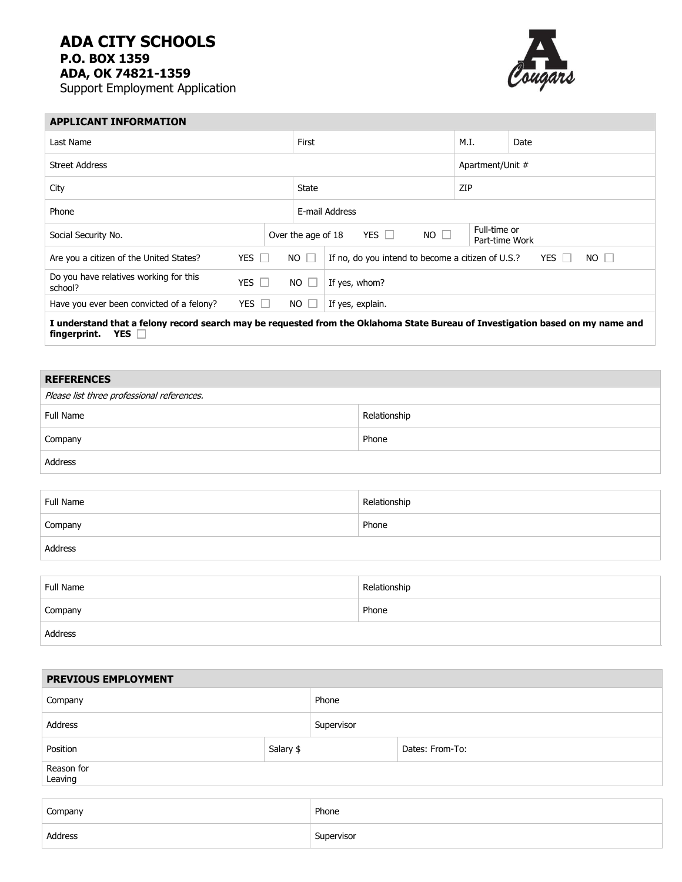## **ADA CITY SCHOOLS P.O. BOX 1359 ADA, OK 74821-1359**

Address

Support Employment Application



| <b>APPLICANT INFORMATION</b>                      |                           |                           |             |                                                   |                                |                                    |  |  |
|---------------------------------------------------|---------------------------|---------------------------|-------------|---------------------------------------------------|--------------------------------|------------------------------------|--|--|
| Last Name                                         |                           |                           | First       |                                                   | M.I.                           | Date                               |  |  |
| <b>Street Address</b>                             |                           |                           |             |                                                   | Apartment/Unit #               |                                    |  |  |
| City                                              |                           |                           | State       |                                                   | ZIP                            |                                    |  |  |
| Phone                                             |                           |                           |             | E-mail Address                                    |                                |                                    |  |  |
| Over the age of 18<br>Social Security No.         |                           |                           |             | $NO$ $\Box$<br>YES $\Box$                         | Full-time or<br>Part-time Work |                                    |  |  |
| Are you a citizen of the United States?           | YES $\Box$                |                           | $NO$ $\Box$ | If no, do you intend to become a citizen of U.S.? |                                | YES<br>$NO$ $\Box$<br>$\mathbf{1}$ |  |  |
| Do you have relatives working for this<br>school? |                           | YES $\Box$<br>$NO$ $\Box$ |             | If yes, whom?                                     |                                |                                    |  |  |
| Have you ever been convicted of a felony?         | YES $\Box$<br>$NO$ $\Box$ |                           |             | If yes, explain.                                  |                                |                                    |  |  |
|                                                   |                           |                           |             | - - -                                             | $\sim$ $\sim$                  | .                                  |  |  |

**I understand that a felony record search may be requested from the Oklahoma State Bureau of Investigation based on my name and fingerprint. YES** 

## **REFERENCES** Please list three professional references. Full Name Relationship Company Phone

| Full Name | Relationship |
|-----------|--------------|
| Company   | Phone        |
| Address   |              |

| Full Name | Relationship |
|-----------|--------------|
| Company   | Phone        |
| Address   |              |

| PREVIOUS EMPLOYMENT   |  |            |                 |  |  |
|-----------------------|--|------------|-----------------|--|--|
| Company               |  | Phone      |                 |  |  |
| Address               |  | Supervisor |                 |  |  |
| Salary \$<br>Position |  |            | Dates: From-To: |  |  |
| Reason for<br>Leaving |  |            |                 |  |  |
|                       |  |            |                 |  |  |
| Company               |  | Phone      |                 |  |  |
| Address               |  | Supervisor |                 |  |  |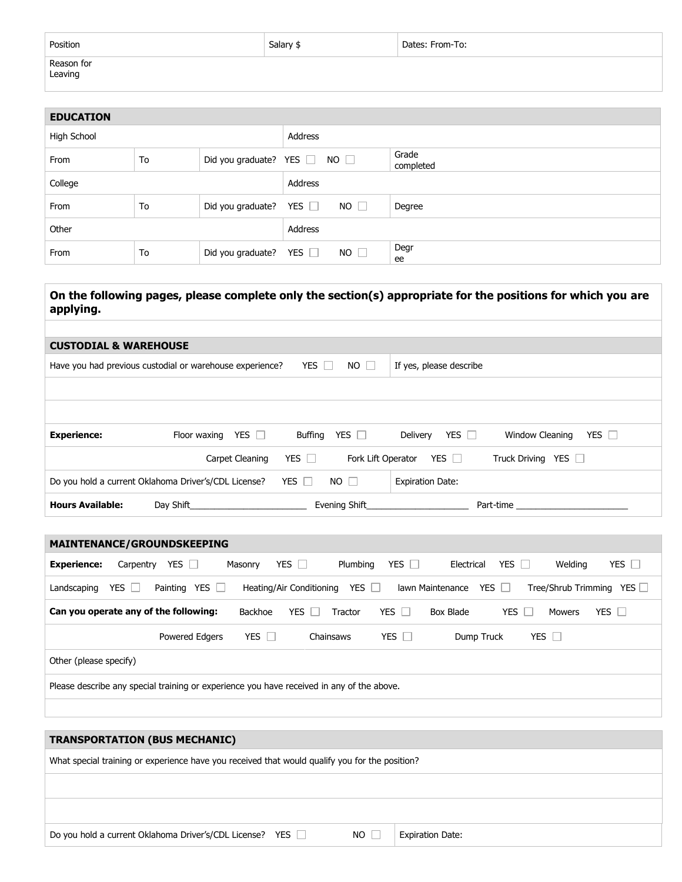| Position              | Salary \$ | Dates: From-To: |
|-----------------------|-----------|-----------------|
| Reason for<br>Leaving |           |                 |

| <b>EDUCATION</b> |    |                                        |                                        |                    |  |
|------------------|----|----------------------------------------|----------------------------------------|--------------------|--|
| High School      |    | Address                                |                                        |                    |  |
| From             | To | Did you graduate? YES $\Box$ NO $\Box$ |                                        | Grade<br>completed |  |
| College          |    | Address                                |                                        |                    |  |
| From             | To |                                        | Did you graduate? YES $\Box$ NO $\Box$ | Degree             |  |
| Other            |    | Address                                |                                        |                    |  |
| From             | To | Did you graduate? YES $\Box$           | $NO$ $\Box$                            | Degr<br>ee         |  |

## **On the following pages, please complete only the section(s) appropriate for the positions for which you are applying.**

| <b>CUSTODIAL &amp; WAREHOUSE</b>                                                                                 |                                                      |            |               |                               |                               |  |
|------------------------------------------------------------------------------------------------------------------|------------------------------------------------------|------------|---------------|-------------------------------|-------------------------------|--|
| YES $\Box$<br>$NO$ $\Box$<br>Have you had previous custodial or warehouse experience?<br>If yes, please describe |                                                      |            |               |                               |                               |  |
|                                                                                                                  |                                                      |            |               |                               |                               |  |
|                                                                                                                  |                                                      |            |               |                               |                               |  |
| <b>Experience:</b>                                                                                               | YES $\Box$<br>Floor waxing                           | Buffing    | YES $\Box$    | YES $\Box$<br>Delivery        | YES $\Box$<br>Window Cleaning |  |
|                                                                                                                  | Carpet Cleaning                                      | YES $\Box$ |               | Fork Lift Operator YES $\Box$ | Truck Driving YES             |  |
|                                                                                                                  | Do you hold a current Oklahoma Driver's/CDL License? | YES $\Box$ | $NO$ $\Box$   | <b>Expiration Date:</b>       |                               |  |
| <b>Hours Available:</b>                                                                                          | Day Shift                                            |            | Evening Shift |                               | Part-time                     |  |

| <b>MAINTENANCE/GROUNDSKEEPING</b>                                                                                                                           |  |  |  |  |  |  |
|-------------------------------------------------------------------------------------------------------------------------------------------------------------|--|--|--|--|--|--|
| YES $\square$<br><b>YES</b><br>YES $\Box$<br><b>YES</b><br>YES<br>Welding<br>Carpentry<br>Plumbing<br>Electrical<br><b>Experience:</b><br>Masonry           |  |  |  |  |  |  |
| YES  <br>YES $\Box$<br>YES<br>Tree/Shrub Trimming<br>YES    <br>Heating/Air Conditioning<br>YES  <br>Painting<br>lawn Maintenance<br>Landscaping<br>n.<br>× |  |  |  |  |  |  |
| YES $\Gamma$<br>YES $\Box$<br>YES $\Box$<br>Can you operate any of the following:<br>YES<br>Backhoe<br>Box Blade<br><b>Mowers</b><br>Tractor<br>n.          |  |  |  |  |  |  |
| YES  <br><b>YES</b><br>YES $\Box$<br>Powered Edgers<br>Chainsaws<br>Dump Truck<br>$\mathbf{1}$<br>- 1                                                       |  |  |  |  |  |  |
| Other (please specify)                                                                                                                                      |  |  |  |  |  |  |
| Please describe any special training or experience you have received in any of the above.                                                                   |  |  |  |  |  |  |
|                                                                                                                                                             |  |  |  |  |  |  |

| <b>TRANSPORTATION (BUS MECHANIC)</b>                                                           |  |  |  |  |
|------------------------------------------------------------------------------------------------|--|--|--|--|
| What special training or experience have you received that would qualify you for the position? |  |  |  |  |
|                                                                                                |  |  |  |  |
|                                                                                                |  |  |  |  |
| Do you hold a current Oklahoma Driver's/CDL License? YES<br>NO II<br><b>Expiration Date:</b>   |  |  |  |  |